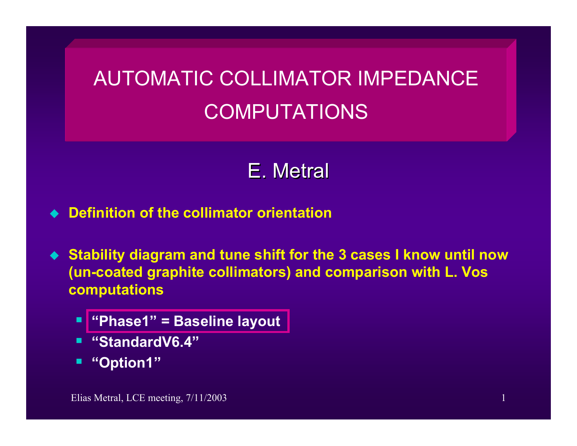## AUTOMATIC COLLIMATOR IMPEDANCE COMPUTATIONS

## E. Metral

- **Definition of the collimator orientation**
- **Stability diagram and tune shift for the 3 cases I know until now (un-coated graphite collimators) and comparison with L. Vos computations**
	- **"Phase1" = Baseline layout**
	- **"StandardV6.4"**
	- **"Option1"**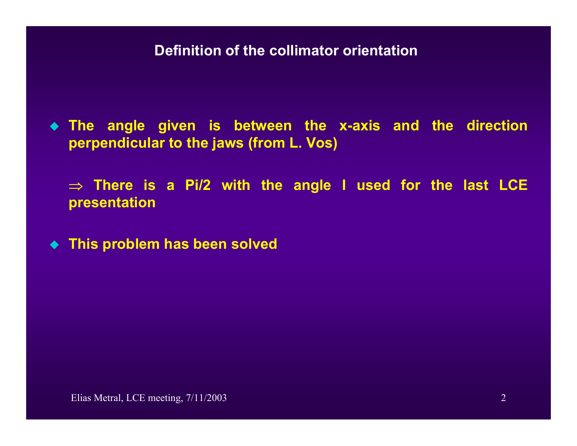**Definition of the collimator orientation**

 **The angle given is between the x-axis and the direction perpe ndic ular to the jaws (from L. Vos)**

⇒ **There is a Pi/2 with the angle I used for the last LCE presentation**

**This problem has been solved**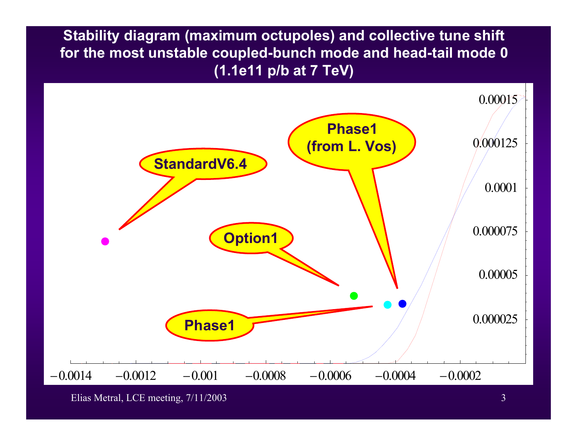**Stability diagram (maximum octupoles) and collective tune shift for the most unstable coupled-bunch mode and head-tail mode 0 (1.1e11 p/b at 7 TeV)** 



Elias Metral, LCE meeting,  $7/11/2003$  3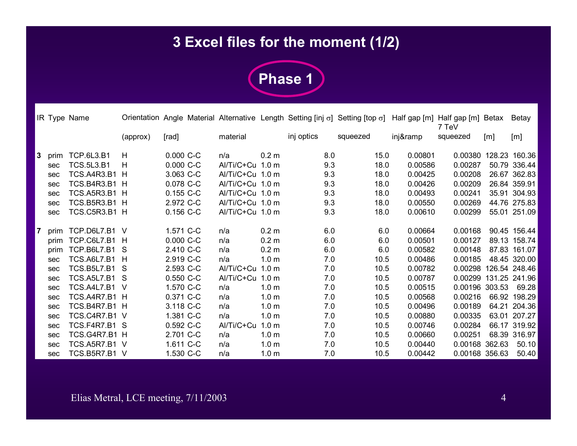## **3 Excel files for the moment (1/2)**



|                |      | IR Type Name       |          |             |                  |                  |            | Orientation Angle Material Alternative Length Setting [inj σ] Setting [top σ] |          | Half gap [m] Half gap [m] Betax<br>7 TeV |        | Betay         |
|----------------|------|--------------------|----------|-------------|------------------|------------------|------------|-------------------------------------------------------------------------------|----------|------------------------------------------|--------|---------------|
|                |      |                    | (approx) | [rad]       | material         |                  | inj optics | squeezed                                                                      | inj&ramp | squeezed                                 | [m]    | [m]           |
| 3              | prim | <b>TCP.6L3.B1</b>  | н        | $0.000 C-C$ | n/a              | 0.2 <sub>m</sub> | 8.0        | 15.0                                                                          | 0.00801  | 0.00380                                  |        | 128.23 160.36 |
|                | sec  | <b>TCS.5L3.B1</b>  | H        | 0.000 C-C   | Al/Ti/C+Cu 1.0 m |                  | 9.3        | 18.0                                                                          | 0.00586  | 0.00287                                  |        | 50.79 336.44  |
|                | sec  | TCS.A4R3.B1        | H        | 3.063 C-C   | Al/Ti/C+Cu 1.0 m |                  | 9.3        | 18.0                                                                          | 0.00425  | 0.00208                                  |        | 26.67 362.83  |
|                | sec  | TCS.B4R3.B1 H      |          | 0.078 C-C   | Al/Ti/C+Cu 1.0 m |                  | 9.3        | 18.0                                                                          | 0.00426  | 0.00209                                  |        | 26.84 359.91  |
|                | sec  | <b>TCS.A5R3.B1</b> | H        | 0.155 C-C   | Al/Ti/C+Cu 1.0 m |                  | 9.3        | 18.0                                                                          | 0.00493  | 0.00241                                  |        | 35.91 304.93  |
|                | sec  | TCS.B5R3.B1 H      |          | 2.972 C-C   | Al/Ti/C+Cu 1.0 m |                  | 9.3        | 18.0                                                                          | 0.00550  | 0.00269                                  |        | 44.76 275.83  |
|                | sec  | TCS.C5R3.B1 H      |          | $0.156$ C-C | Al/Ti/C+Cu 1.0 m |                  | 9.3        | 18.0                                                                          | 0.00610  | 0.00299                                  |        | 55.01 251.09  |
| $\overline{7}$ | prim | TCP.D6L7.B1 V      |          | 1.571 C-C   | n/a              | 0.2 <sub>m</sub> | 6.0        | 6.0                                                                           | 0.00664  | 0.00168                                  |        | 90.45 156.44  |
|                | prim | TCP.C6L7.B1        | H        | 0.000 C-C   | n/a              | 0.2 <sub>m</sub> | 6.0        | 6.0                                                                           | 0.00501  | 0.00127                                  |        | 89.13 158.74  |
|                | prim | TCP.B6L7.B1        | S        | 2.410 C-C   | n/a              | 0.2 <sub>m</sub> | 6.0        | 6.0                                                                           | 0.00582  | 0.00148                                  |        | 87.83 161.07  |
|                | sec  | <b>TCS.A6L7.B1</b> | H        | 2.919 C-C   | n/a              | 1.0 <sub>m</sub> | 7.0        | 10.5                                                                          | 0.00486  | 0.00185                                  |        | 48.45 320.00  |
|                | sec  | <b>TCS.B5L7.B1</b> | -S       | 2.593 C-C   | Al/Ti/C+Cu       | 1.0 <sub>m</sub> | 7.0        | 10.5                                                                          | 0.00782  | 0.00298                                  |        | 126.54 248.46 |
|                | sec  | TCS.A5L7.B1 S      |          | 0.550 C-C   | Al/Ti/C+Cu       | 1.0 <sub>m</sub> | 7.0        | 10.5                                                                          | 0.00787  | 0.00299                                  |        | 131.25 241.96 |
|                | sec  | TCS.A4L7.B1        | -V       | 1.570 C-C   | n/a              | 1.0 <sub>m</sub> | 7.0        | 10.5                                                                          | 0.00515  | 0.00196                                  | 303.53 | 69.28         |
|                | sec  | TCS.A4R7.B1 H      |          | 0.371 C-C   | n/a              | 1.0 <sub>m</sub> | 7.0        | 10.5                                                                          | 0.00568  | 0.00216                                  |        | 66.92 198.29  |
|                | sec  | TCS.B4R7.B1 H      |          | 3.118 C-C   | n/a              | 1.0 <sub>m</sub> | 7.0        | 10.5                                                                          | 0.00496  | 0.00189                                  |        | 64.21 204.36  |
|                | sec  | TCS.C4R7.B1 V      |          | 1.381 C-C   | n/a              | 1.0 <sub>m</sub> | 7.0        | 10.5                                                                          | 0.00880  | 0.00335                                  |        | 63.01 207.27  |
|                | sec  | TCS.F4R7.B1 S      |          | 0.592 C-C   | Al/Ti/C+Cu       | 1.0 <sub>m</sub> | 7.0        | 10.5                                                                          | 0.00746  | 0.00284                                  |        | 66.17 319.92  |
|                | sec  | TCS.G4R7.B1 H      |          | 2.701 C-C   | n/a              | 1.0 <sub>m</sub> | 7.0        | 10.5                                                                          | 0.00660  | 0.00251                                  |        | 68.39 316.97  |
|                | sec  | TCS.A5R7.B1 V      |          | 1.611 C-C   | n/a              | 1.0 <sub>m</sub> | 7.0        | 10.5                                                                          | 0.00440  | 0.00168                                  | 362.63 | 50.10         |
|                | sec  | TCS.B5R7.B1 V      |          | 1.530 C-C   | n/a              | 1.0 <sub>m</sub> | 7.0        | 10.5                                                                          | 0.00442  | 0.00168 356.63                           |        | 50.40         |